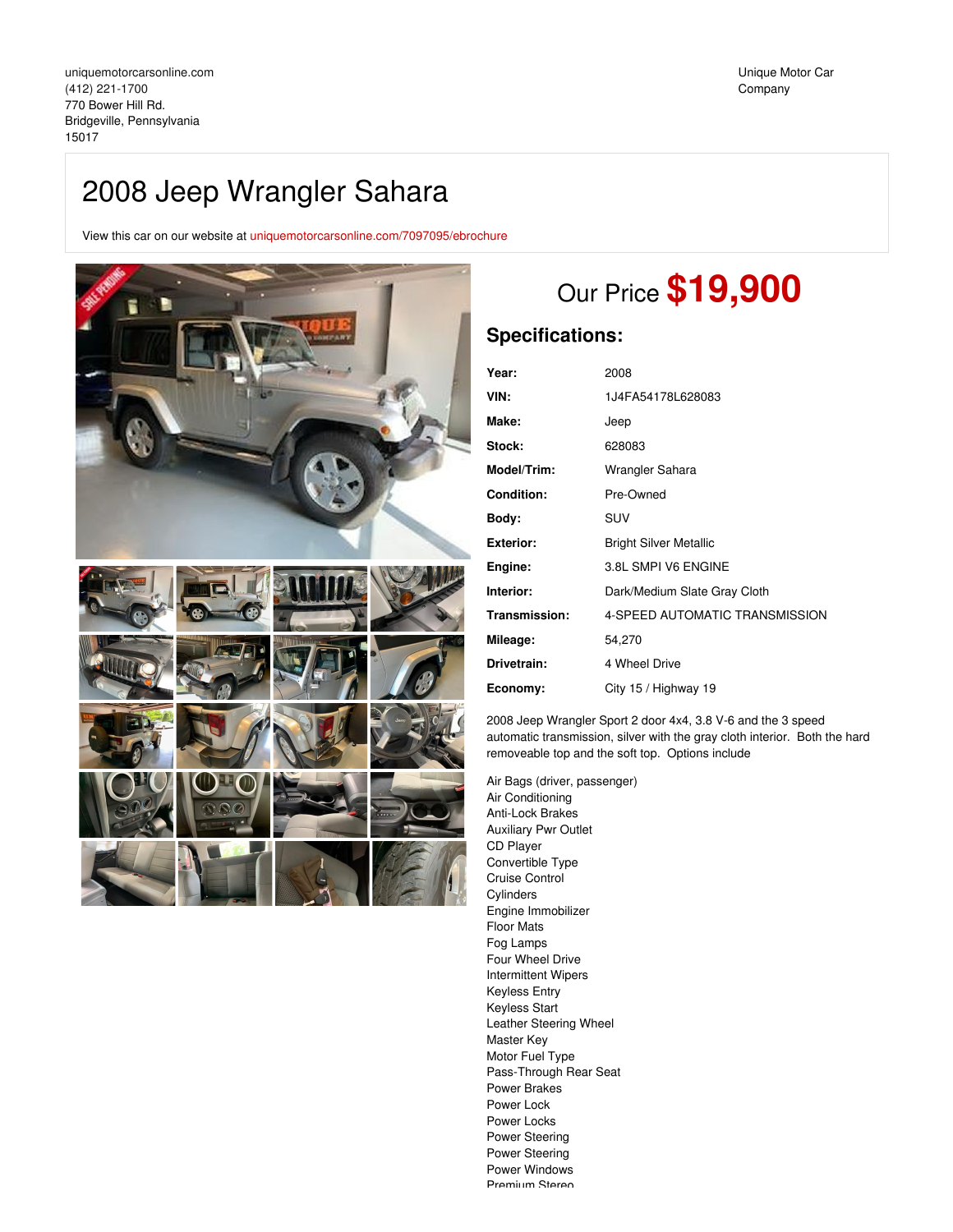# 2008 Jeep Wrangler Sahara

View this car on our website at [uniquemotorcarsonline.com/7097095/ebrochure](https://uniquemotorcarsonline.com/vehicle/7097095/2008-jeep-wrangler-sahara-bridgeville-pennsylvania-15017/7097095/ebrochure)





# Our Price **\$19,900**

## **Specifications:**

| 2008                           |
|--------------------------------|
| 1J4FA54178L628083              |
| Jeep                           |
| 628083                         |
| Wrangler Sahara                |
| Pre-Owned                      |
| SUV                            |
| <b>Bright Silver Metallic</b>  |
| 3.8L SMPI V6 ENGINE            |
| Dark/Medium Slate Gray Cloth   |
| 4-SPEED AUTOMATIC TRANSMISSION |
| 54,270                         |
| 4 Wheel Drive                  |
| City 15 / Highway 19           |
|                                |

2008 Jeep Wrangler Sport 2 door 4x4, 3.8 V-6 and the 3 speed automatic transmission, silver with the gray cloth interior. Both the hard removeable top and the soft top. Options include

Air Bags (driver, passenger) Air Conditioning Anti-Lock Brakes Auxiliary Pwr Outlet CD Player Convertible Type Cruise Control **Cylinders** Engine Immobilizer Floor Mats Fog Lamps Four Wheel Drive Intermittent Wipers Keyless Entry Keyless Start Leather Steering Wheel Master Key Motor Fuel Type Pass-Through Rear Seat Power Brakes Power Lock Power Locks Power Steering Power Steering Power Windows Pramium Staran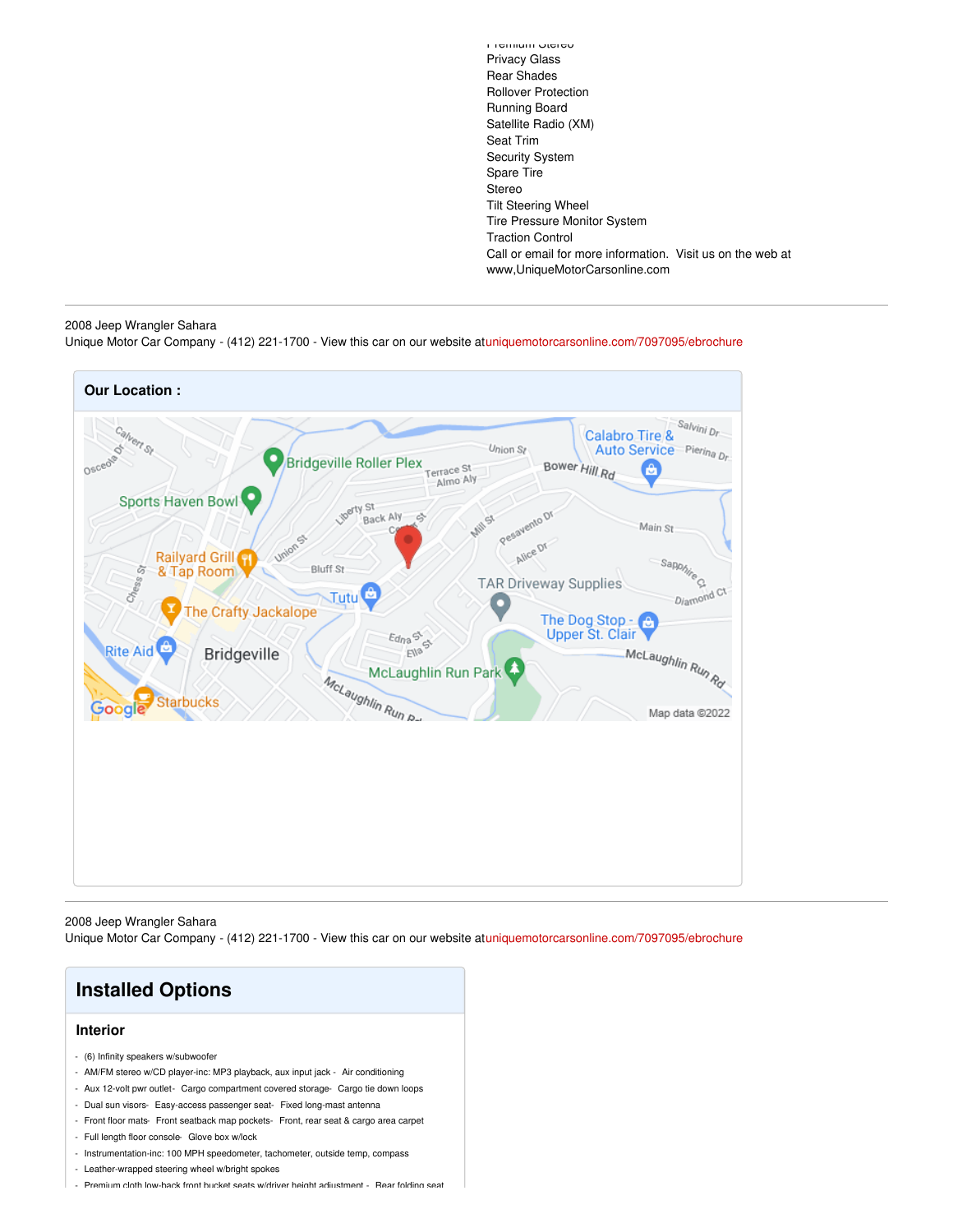Premium Stereo Privacy Glass Rear Shades Rollover Protection Running Board Satellite Radio (XM) Seat Trim Security System Spare Tire Stereo Tilt Steering Wheel Tire Pressure Monitor System Traction Control Call or email for more information. Visit us on the web at www,UniqueMotorCarsonline.com

#### 2008 Jeep Wrangler Sahara

Unique Motor Car Company - (412) 221-1700 - View this car on our website at[uniquemotorcarsonline.com/7097095/ebrochure](https://uniquemotorcarsonline.com/vehicle/7097095/2008-jeep-wrangler-sahara-bridgeville-pennsylvania-15017/7097095/ebrochure)



2008 Jeep Wrangler Sahara

Unique Motor Car Company - (412) 221-1700 - View this car on our website at[uniquemotorcarsonline.com/7097095/ebrochure](https://uniquemotorcarsonline.com/vehicle/7097095/2008-jeep-wrangler-sahara-bridgeville-pennsylvania-15017/7097095/ebrochure)



- Leather-wrapped steering wheel w/bright spokes
- Premium cloth low-back front bucket seats w/driver height adjustment Rear folding seat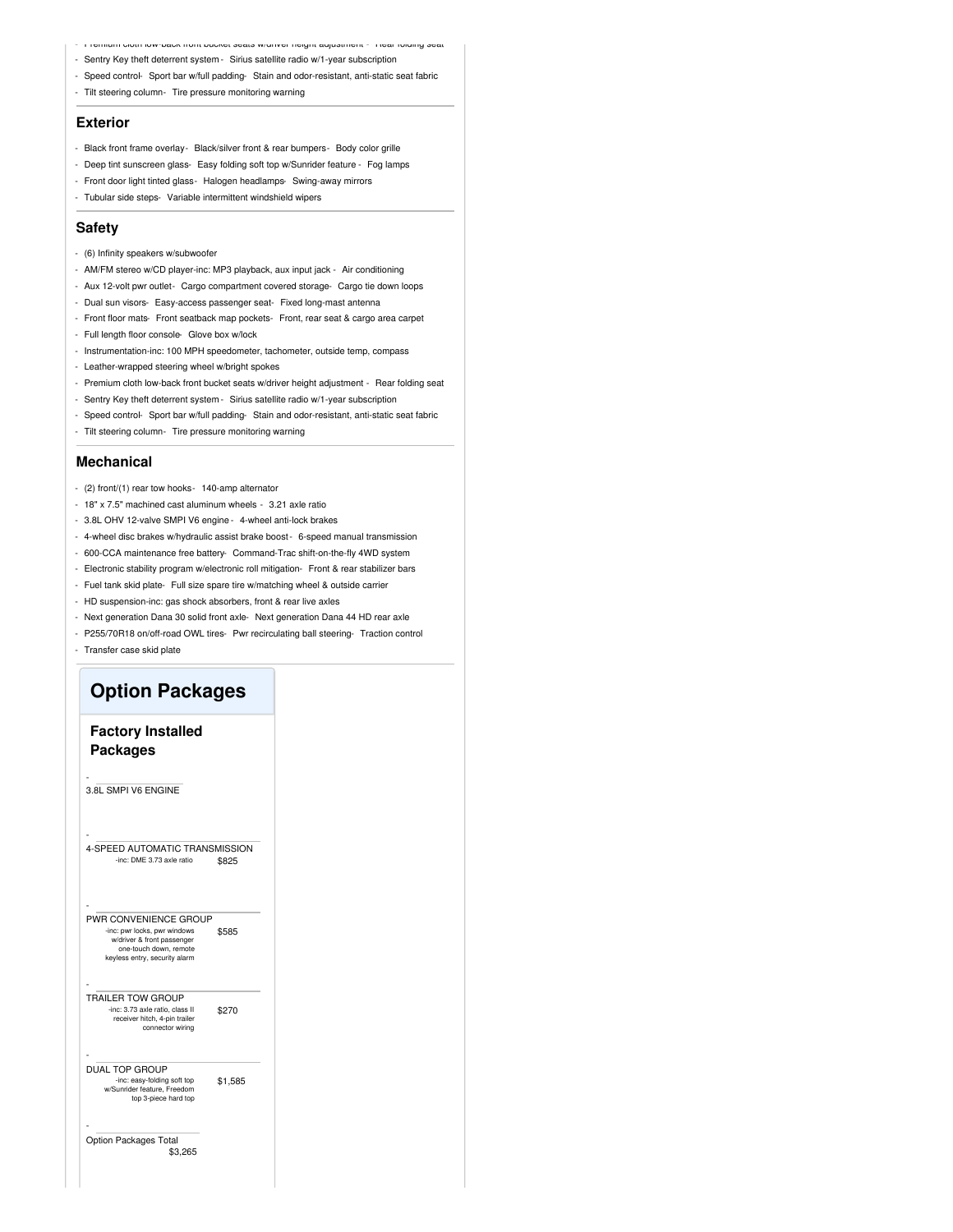- Premium cloth low-back front bucket seats w/driver height adjustment Rear folding seat
- Sentry Key theft deterrent system Sirius satellite radio w/1-year subscription
- Speed control- Sport bar w/full padding- Stain and odor-resistant, anti-static seat fabric
- Tilt steering column- Tire pressure monitoring warning

#### **Exterior**

- Black front frame overlay- Black/silver front & rear bumpers- Body color grille
- Deep tint sunscreen glass- Easy folding soft top w/Sunrider feature Fog lamps
- Front door light tinted glass- Halogen headlamps- Swing-away mirrors
- Tubular side steps- Variable intermittent windshield wipers

#### **Safety**

- (6) Infinity speakers w/subwoofer
- AM/FM stereo w/CD player-inc: MP3 playback, aux input jack Air conditioning
- Aux 12-volt pwr outlet- Cargo compartment covered storage- Cargo tie down loops
- Dual sun visors- Easy-access passenger seat- Fixed long-mast antenna
- Front floor mats- Front seatback map pockets- Front, rear seat & cargo area carpet
- Full length floor console- Glove box w/lock
- Instrumentation-inc: 100 MPH speedometer, tachometer, outside temp, compass
- Leather-wrapped steering wheel w/bright spokes
- Premium cloth low-back front bucket seats w/driver height adjustment Rear folding seat
- Sentry Key theft deterrent system Sirius satellite radio w/1-year subscription
- Speed control- Sport bar w/full padding- Stain and odor-resistant, anti-static seat fabric
- Tilt steering column- Tire pressure monitoring warning

#### **Mechanical**

- (2) front/(1) rear tow hooks- 140-amp alternator
- 18" x 7.5" machined cast aluminum wheels 3.21 axle ratio
- 3.8L OHV 12-valve SMPI V6 engine 4-wheel anti-lock brakes
- 4-wheel disc brakes w/hydraulic assist brake boost- 6-speed manual transmission
- 600-CCA maintenance free battery- Command-Trac shift-on-the-fly 4WD system
- Electronic stability program w/electronic roll mitigation- Front & rear stabilizer bars
- Fuel tank skid plate- Full size spare tire w/matching wheel & outside carrier
- HD suspension-inc: gas shock absorbers, front & rear live axles
- Next generation Dana 30 solid front axle- Next generation Dana 44 HD rear axle
- P255/70R18 on/off-road OWL tires- Pwr recirculating ball steering- Traction control
- Transfer case skid plate

### **Option Packages**

### **Factory Installed Packages**

3.8L SMPI V6 ENGINE

-

\$825 - 4-SPEED AUTOMATIC TRANSMISSION -inc: DME 3.73 axle ratio \$585 - PWR CONVENIENCE GROUP -inc: pwr locks, pwr windows w/driver & front passenger one-touch down, remote keyless entry, security alarm \$270 - TRAILER TOW GROUP -inc: 3.73 axle ratio, class II receiver hitch, 4-pin trailer connector wiring \$1,585 - DUAL TOP GROUP -inc: easy-folding soft top w/Sunrider feature, Freedom top 3-piece hard top \$3,265 - Option Packages Total